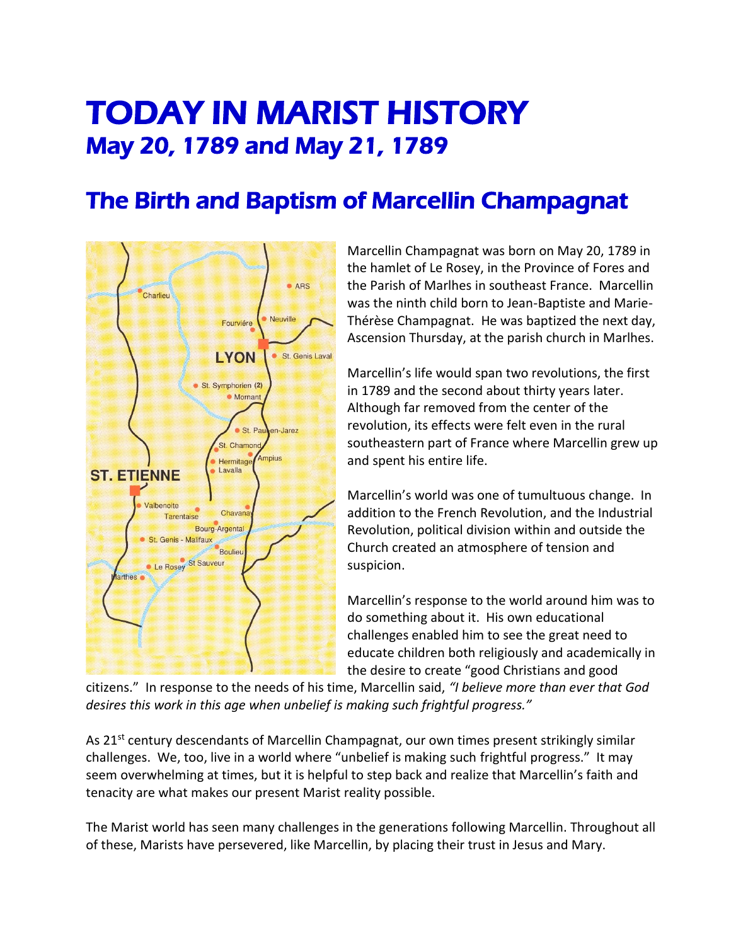## TODAY IN MARIST HISTORY May 20, 1789 and May 21, 1789

## The Birth and Baptism of Marcellin Champagnat



Marcellin Champagnat was born on May 20, 1789 in the hamlet of Le Rosey, in the Province of Fores and the Parish of Marlhes in southeast France. Marcellin was the ninth child born to Jean-Baptiste and Marie-Thérèse Champagnat. He was baptized the next day, Ascension Thursday, at the parish church in Marlhes.

Marcellin's life would span two revolutions, the first in 1789 and the second about thirty years later. Although far removed from the center of the revolution, its effects were felt even in the rural southeastern part of France where Marcellin grew up and spent his entire life.

Marcellin's world was one of tumultuous change. In addition to the French Revolution, and the Industrial Revolution, political division within and outside the Church created an atmosphere of tension and suspicion.

Marcellin's response to the world around him was to do something about it. His own educational challenges enabled him to see the great need to educate children both religiously and academically in the desire to create "good Christians and good

citizens." In response to the needs of his time, Marcellin said, *"I believe more than ever that God desires this work in this age when unbelief is making such frightful progress."* 

As 21<sup>st</sup> century descendants of Marcellin Champagnat, our own times present strikingly similar challenges. We, too, live in a world where "unbelief is making such frightful progress." It may seem overwhelming at times, but it is helpful to step back and realize that Marcellin's faith and tenacity are what makes our present Marist reality possible.

The Marist world has seen many challenges in the generations following Marcellin. Throughout all of these, Marists have persevered, like Marcellin, by placing their trust in Jesus and Mary.